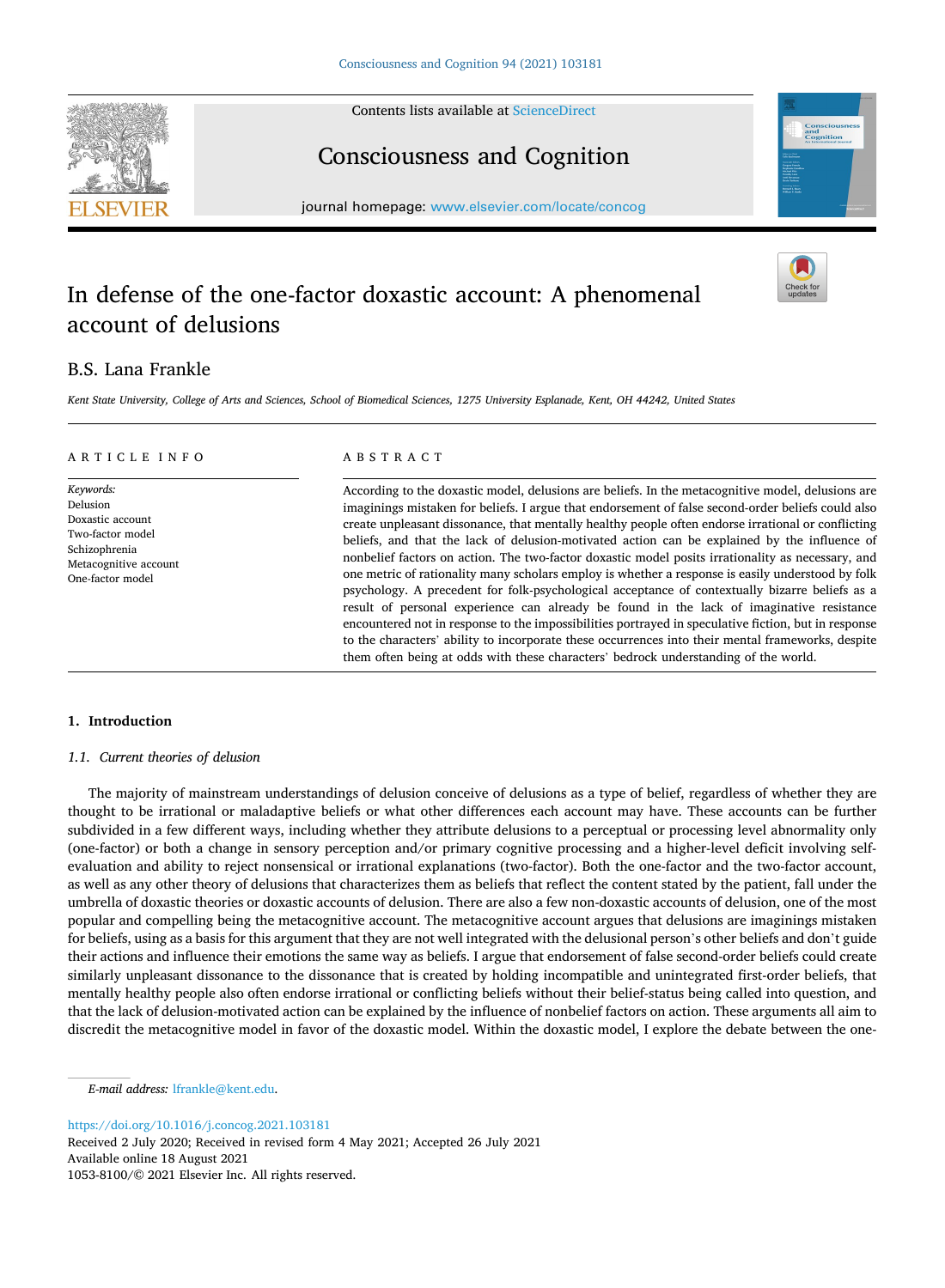Contents lists available at [ScienceDirect](www.sciencedirect.com/science/journal/10538100)





# Consciousness and Cognition

journal homepage: [www.elsevier.com/locate/concog](https://www.elsevier.com/locate/concog)

## In defense of the one-factor doxastic account: A phenomenal account of delusions

## B.S. Lana Frankle

*Kent State University, College of Arts and Sciences, School of Biomedical Sciences, 1275 University Esplanade, Kent, OH 44242, United States* 

#### ARTICLE INFO

*Keywords:*  Delusion Doxastic account Two-factor model Schizophrenia Metacognitive account One-factor model

## ABSTRACT

According to the doxastic model, delusions are beliefs. In the metacognitive model, delusions are imaginings mistaken for beliefs. I argue that endorsement of false second-order beliefs could also create unpleasant dissonance, that mentally healthy people often endorse irrational or conflicting beliefs, and that the lack of delusion-motivated action can be explained by the influence of nonbelief factors on action. The two-factor doxastic model posits irrationality as necessary, and one metric of rationality many scholars employ is whether a response is easily understood by folk psychology. A precedent for folk-psychological acceptance of contextually bizarre beliefs as a result of personal experience can already be found in the lack of imaginative resistance encountered not in response to the impossibilities portrayed in speculative fiction, but in response to the characters' ability to incorporate these occurrences into their mental frameworks, despite them often being at odds with these characters' bedrock understanding of the world.

### **1. Introduction**

#### *1.1. Current theories of delusion*

The majority of mainstream understandings of delusion conceive of delusions as a type of belief, regardless of whether they are thought to be irrational or maladaptive beliefs or what other differences each account may have. These accounts can be further subdivided in a few different ways, including whether they attribute delusions to a perceptual or processing level abnormality only (one-factor) or both a change in sensory perception and/or primary cognitive processing and a higher-level deficit involving selfevaluation and ability to reject nonsensical or irrational explanations (two-factor). Both the one-factor and the two-factor account, as well as any other theory of delusions that characterizes them as beliefs that reflect the content stated by the patient, fall under the umbrella of doxastic theories or doxastic accounts of delusion. There are also a few non-doxastic accounts of delusion, one of the most popular and compelling being the metacognitive account. The metacognitive account argues that delusions are imaginings mistaken for beliefs, using as a basis for this argument that they are not well integrated with the delusional person's other beliefs and don't guide their actions and influence their emotions the same way as beliefs. I argue that endorsement of false second-order beliefs could create similarly unpleasant dissonance to the dissonance that is created by holding incompatible and unintegrated first-order beliefs, that mentally healthy people also often endorse irrational or conflicting beliefs without their belief-status being called into question, and that the lack of delusion-motivated action can be explained by the influence of nonbelief factors on action. These arguments all aim to discredit the metacognitive model in favor of the doxastic model. Within the doxastic model, I explore the debate between the one-

<https://doi.org/10.1016/j.concog.2021.103181>

Available online 18 August 2021 1053-8100/© 2021 Elsevier Inc. All rights reserved. Received 2 July 2020; Received in revised form 4 May 2021; Accepted 26 July 2021

*E-mail address:* [lfrankle@kent.edu](mailto:lfrankle@kent.edu).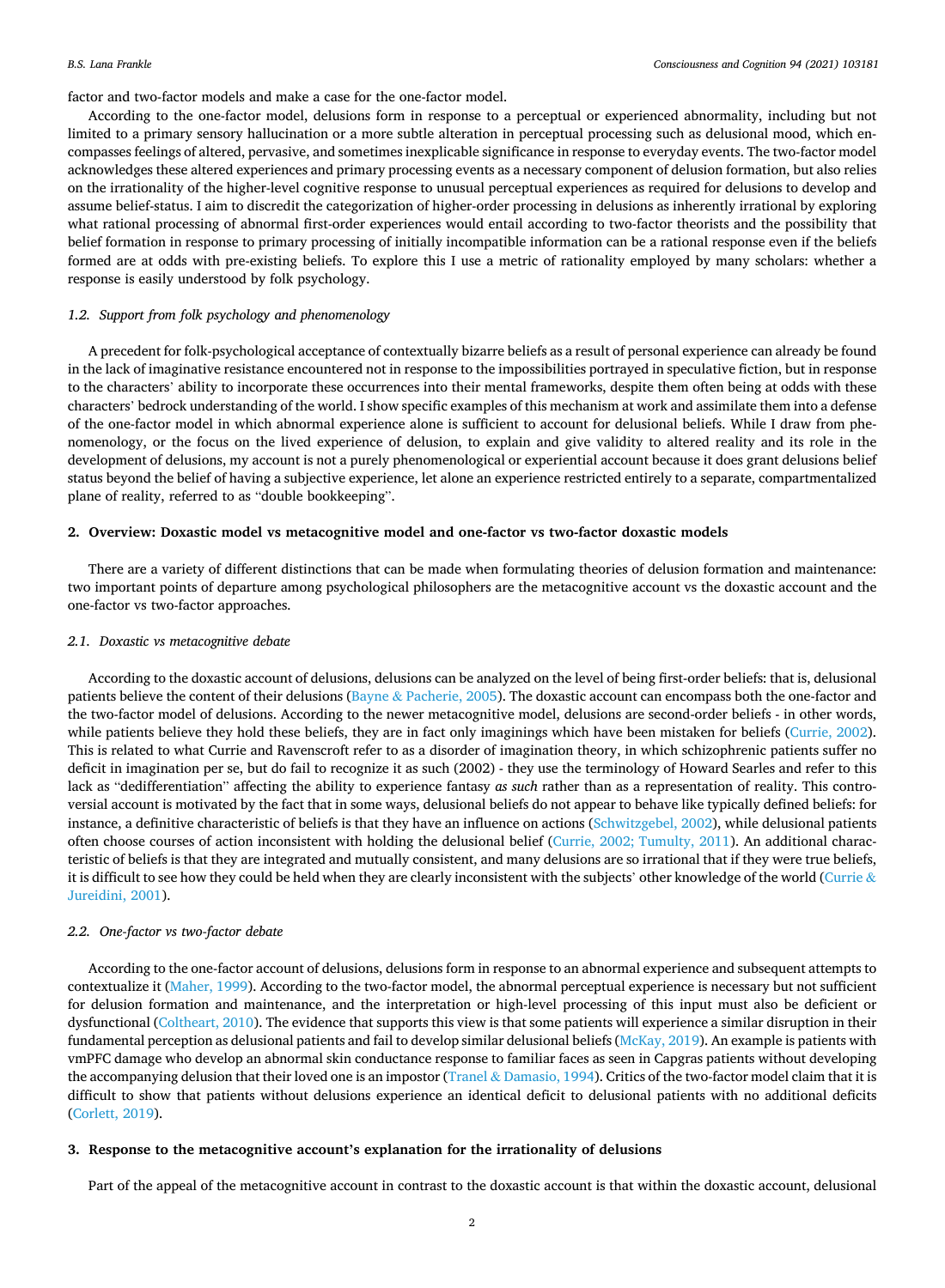#### *B.S. Lana Frankle*

factor and two-factor models and make a case for the one-factor model.

According to the one-factor model, delusions form in response to a perceptual or experienced abnormality, including but not limited to a primary sensory hallucination or a more subtle alteration in perceptual processing such as delusional mood, which encompasses feelings of altered, pervasive, and sometimes inexplicable significance in response to everyday events. The two-factor model acknowledges these altered experiences and primary processing events as a necessary component of delusion formation, but also relies on the irrationality of the higher-level cognitive response to unusual perceptual experiences as required for delusions to develop and assume belief-status. I aim to discredit the categorization of higher-order processing in delusions as inherently irrational by exploring what rational processing of abnormal first-order experiences would entail according to two-factor theorists and the possibility that belief formation in response to primary processing of initially incompatible information can be a rational response even if the beliefs formed are at odds with pre-existing beliefs. To explore this I use a metric of rationality employed by many scholars: whether a response is easily understood by folk psychology.

## *1.2. Support from folk psychology and phenomenology*

A precedent for folk-psychological acceptance of contextually bizarre beliefs as a result of personal experience can already be found in the lack of imaginative resistance encountered not in response to the impossibilities portrayed in speculative fiction, but in response to the characters' ability to incorporate these occurrences into their mental frameworks, despite them often being at odds with these characters' bedrock understanding of the world. I show specific examples of this mechanism at work and assimilate them into a defense of the one-factor model in which abnormal experience alone is sufficient to account for delusional beliefs. While I draw from phenomenology, or the focus on the lived experience of delusion, to explain and give validity to altered reality and its role in the development of delusions, my account is not a purely phenomenological or experiential account because it does grant delusions belief status beyond the belief of having a subjective experience, let alone an experience restricted entirely to a separate, compartmentalized plane of reality, referred to as "double bookkeeping".

## **2. Overview: Doxastic model vs metacognitive model and one-factor vs two-factor doxastic models**

There are a variety of different distinctions that can be made when formulating theories of delusion formation and maintenance: two important points of departure among psychological philosophers are the metacognitive account vs the doxastic account and the one-factor vs two-factor approaches.

## *2.1. Doxastic vs metacognitive debate*

According to the doxastic account of delusions, delusions can be analyzed on the level of being first-order beliefs: that is, delusional patients believe the content of their delusions (Bayne & [Pacherie, 2005\)](#page-7-0). The doxastic account can encompass both the one-factor and the two-factor model of delusions. According to the newer metacognitive model, delusions are second-order beliefs - in other words, while patients believe they hold these beliefs, they are in fact only imaginings which have been mistaken for beliefs [\(Currie, 2002](#page-8-0)). This is related to what Currie and Ravenscroft refer to as a disorder of imagination theory, in which schizophrenic patients suffer no deficit in imagination per se, but do fail to recognize it as such (2002) - they use the terminology of Howard Searles and refer to this lack as "dedifferentiation" affecting the ability to experience fantasy *as such* rather than as a representation of reality. This controversial account is motivated by the fact that in some ways, delusional beliefs do not appear to behave like typically defined beliefs: for instance, a definitive characteristic of beliefs is that they have an influence on actions [\(Schwitzgebel, 2002\)](#page-8-0), while delusional patients often choose courses of action inconsistent with holding the delusional belief ([Currie, 2002; Tumulty, 2011\)](#page-8-0). An additional characteristic of beliefs is that they are integrated and mutually consistent, and many delusions are so irrational that if they were true beliefs, it is difficult to see how they could be held when they are clearly inconsistent with the subjects' other knowledge of the world [\(Currie](#page-8-0)  $\&$ [Jureidini, 2001](#page-8-0)).

## *2.2. One-factor vs two-factor debate*

According to the one-factor account of delusions, delusions form in response to an abnormal experience and subsequent attempts to contextualize it ([Maher, 1999\)](#page-8-0). According to the two-factor model, the abnormal perceptual experience is necessary but not sufficient for delusion formation and maintenance, and the interpretation or high-level processing of this input must also be deficient or dysfunctional [\(Coltheart, 2010](#page-8-0)). The evidence that supports this view is that some patients will experience a similar disruption in their fundamental perception as delusional patients and fail to develop similar delusional beliefs [\(McKay, 2019](#page-8-0)). An example is patients with vmPFC damage who develop an abnormal skin conductance response to familiar faces as seen in Capgras patients without developing the accompanying delusion that their loved one is an impostor (Tranel & [Damasio, 1994\)](#page-8-0). Critics of the two-factor model claim that it is difficult to show that patients without delusions experience an identical deficit to delusional patients with no additional deficits [\(Corlett, 2019\)](#page-8-0).

#### **3. Response to the metacognitive account's explanation for the irrationality of delusions**

Part of the appeal of the metacognitive account in contrast to the doxastic account is that within the doxastic account, delusional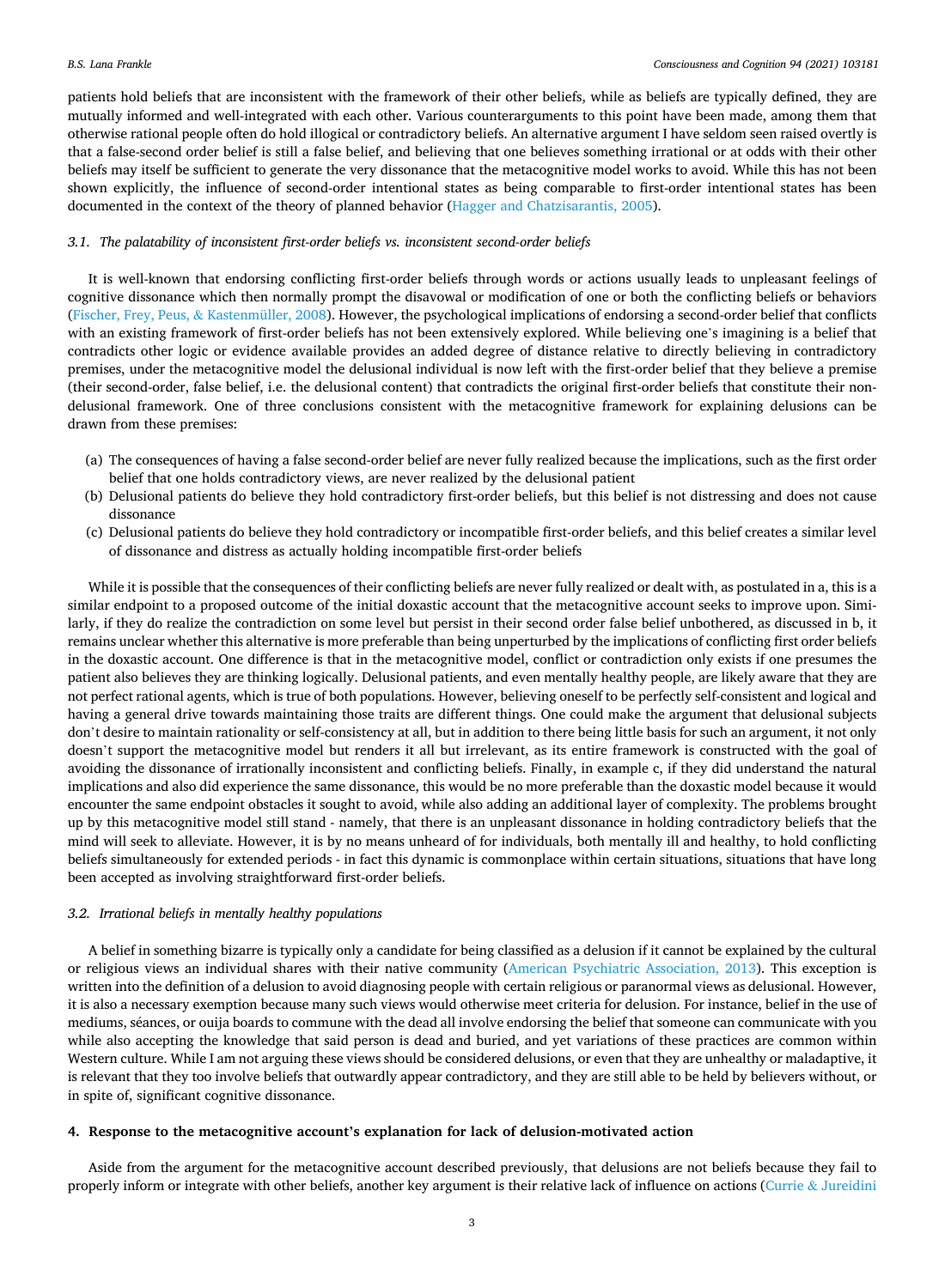patients hold beliefs that are inconsistent with the framework of their other beliefs, while as beliefs are typically defined, they are mutually informed and well-integrated with each other. Various counterarguments to this point have been made, among them that otherwise rational people often do hold illogical or contradictory beliefs. An alternative argument I have seldom seen raised overtly is that a false-second order belief is still a false belief, and believing that one believes something irrational or at odds with their other beliefs may itself be sufficient to generate the very dissonance that the metacognitive model works to avoid. While this has not been shown explicitly, the influence of second-order intentional states as being comparable to first-order intentional states has been documented in the context of the theory of planned behavior ([Hagger and Chatzisarantis, 2005](#page-8-0)).

#### *3.1. The palatability of inconsistent first-order beliefs vs. inconsistent second-order beliefs*

It is well-known that endorsing conflicting first-order beliefs through words or actions usually leads to unpleasant feelings of cognitive dissonance which then normally prompt the disavowal or modification of one or both the conflicting beliefs or behaviors [\(Fischer, Frey, Peus,](#page-8-0) & Kastenmüller, 2008). However, the psychological implications of endorsing a second-order belief that conflicts with an existing framework of first-order beliefs has not been extensively explored. While believing one's imagining is a belief that contradicts other logic or evidence available provides an added degree of distance relative to directly believing in contradictory premises, under the metacognitive model the delusional individual is now left with the first-order belief that they believe a premise (their second-order, false belief, i.e. the delusional content) that contradicts the original first-order beliefs that constitute their nondelusional framework. One of three conclusions consistent with the metacognitive framework for explaining delusions can be drawn from these premises:

- (a) The consequences of having a false second-order belief are never fully realized because the implications, such as the first order belief that one holds contradictory views, are never realized by the delusional patient
- (b) Delusional patients do believe they hold contradictory first-order beliefs, but this belief is not distressing and does not cause dissonance
- (c) Delusional patients do believe they hold contradictory or incompatible first-order beliefs, and this belief creates a similar level of dissonance and distress as actually holding incompatible first-order beliefs

While it is possible that the consequences of their conflicting beliefs are never fully realized or dealt with, as postulated in a, this is a similar endpoint to a proposed outcome of the initial doxastic account that the metacognitive account seeks to improve upon. Similarly, if they do realize the contradiction on some level but persist in their second order false belief unbothered, as discussed in b, it remains unclear whether this alternative is more preferable than being unperturbed by the implications of conflicting first order beliefs in the doxastic account. One difference is that in the metacognitive model, conflict or contradiction only exists if one presumes the patient also believes they are thinking logically. Delusional patients, and even mentally healthy people, are likely aware that they are not perfect rational agents, which is true of both populations. However, believing oneself to be perfectly self-consistent and logical and having a general drive towards maintaining those traits are different things. One could make the argument that delusional subjects don't desire to maintain rationality or self-consistency at all, but in addition to there being little basis for such an argument, it not only doesn't support the metacognitive model but renders it all but irrelevant, as its entire framework is constructed with the goal of avoiding the dissonance of irrationally inconsistent and conflicting beliefs. Finally, in example c, if they did understand the natural implications and also did experience the same dissonance, this would be no more preferable than the doxastic model because it would encounter the same endpoint obstacles it sought to avoid, while also adding an additional layer of complexity. The problems brought up by this metacognitive model still stand - namely, that there is an unpleasant dissonance in holding contradictory beliefs that the mind will seek to alleviate. However, it is by no means unheard of for individuals, both mentally ill and healthy, to hold conflicting beliefs simultaneously for extended periods - in fact this dynamic is commonplace within certain situations, situations that have long been accepted as involving straightforward first-order beliefs.

## *3.2. Irrational beliefs in mentally healthy populations*

A belief in something bizarre is typically only a candidate for being classified as a delusion if it cannot be explained by the cultural or religious views an individual shares with their native community [\(American Psychiatric Association, 2013\)](#page-7-0). This exception is written into the definition of a delusion to avoid diagnosing people with certain religious or paranormal views as delusional. However, it is also a necessary exemption because many such views would otherwise meet criteria for delusion. For instance, belief in the use of mediums, séances, or ouija boards to commune with the dead all involve endorsing the belief that someone can communicate with you while also accepting the knowledge that said person is dead and buried, and yet variations of these practices are common within Western culture. While I am not arguing these views should be considered delusions, or even that they are unhealthy or maladaptive, it is relevant that they too involve beliefs that outwardly appear contradictory, and they are still able to be held by believers without, or in spite of, significant cognitive dissonance.

#### **4. Response to the metacognitive account's explanation for lack of delusion-motivated action**

Aside from the argument for the metacognitive account described previously, that delusions are not beliefs because they fail to properly inform or integrate with other beliefs, another key argument is their relative lack of influence on actions (Currie & [Jureidini](#page-8-0)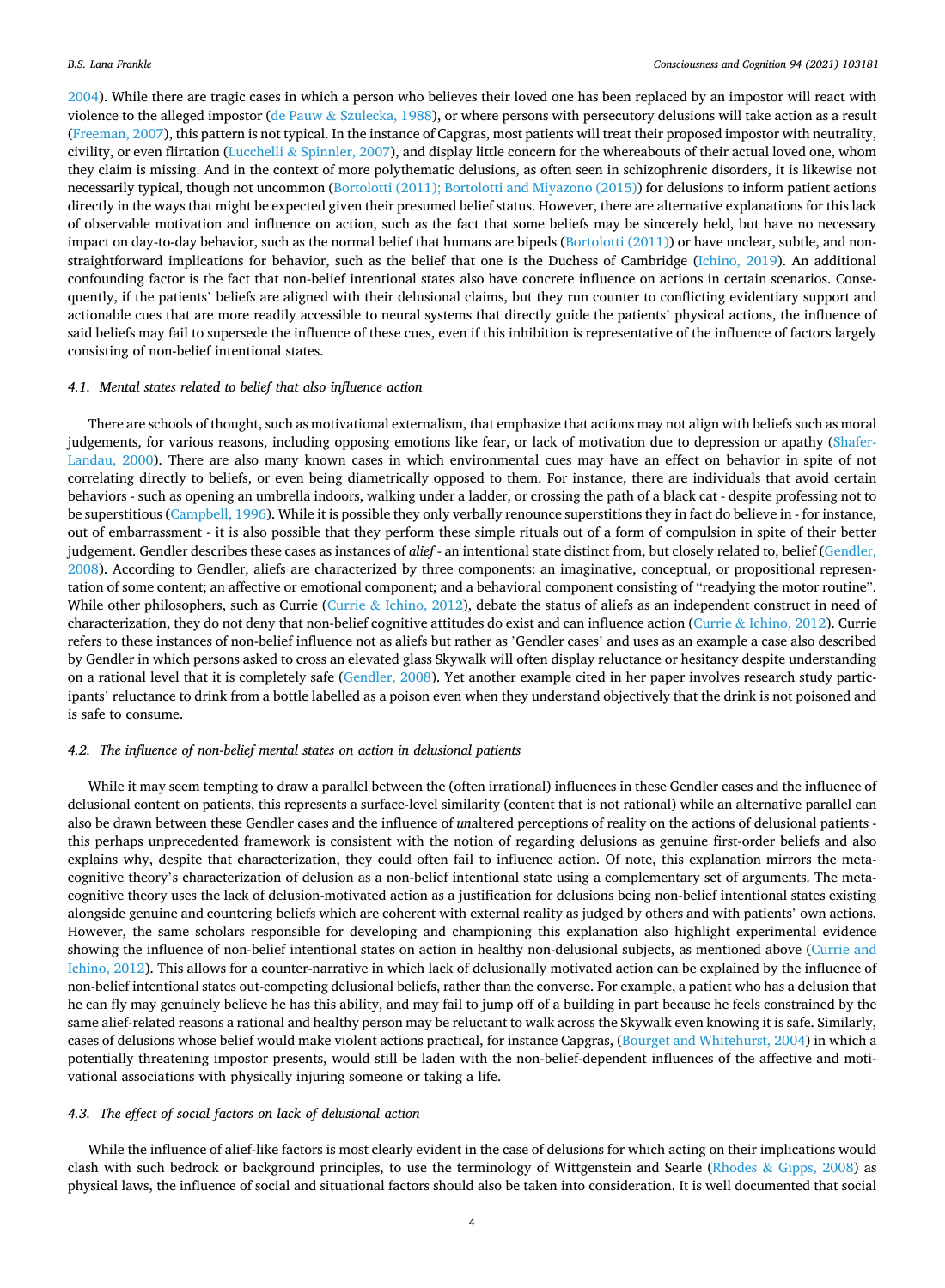[2004\)](#page-8-0). While there are tragic cases in which a person who believes their loved one has been replaced by an impostor will react with violence to the alleged impostor (de Pauw & [Szulecka, 1988](#page-8-0)), or where persons with persecutory delusions will take action as a result [\(Freeman, 2007](#page-8-0)), this pattern is not typical. In the instance of Capgras, most patients will treat their proposed impostor with neutrality, civility, or even flirtation (Lucchelli & [Spinnler, 2007\)](#page-8-0), and display little concern for the whereabouts of their actual loved one, whom they claim is missing. And in the context of more polythematic delusions, as often seen in schizophrenic disorders, it is likewise not necessarily typical, though not uncommon [\(Bortolotti \(2011\); Bortolotti and Miyazono \(2015\)](#page-7-0)) for delusions to inform patient actions directly in the ways that might be expected given their presumed belief status. However, there are alternative explanations for this lack of observable motivation and influence on action, such as the fact that some beliefs may be sincerely held, but have no necessary impact on day-to-day behavior, such as the normal belief that humans are bipeds ([Bortolotti \(2011\)\)](#page-7-0) or have unclear, subtle, and nonstraightforward implications for behavior, such as the belief that one is the Duchess of Cambridge [\(Ichino, 2019\)](#page-8-0). An additional confounding factor is the fact that non-belief intentional states also have concrete influence on actions in certain scenarios. Consequently, if the patients' beliefs are aligned with their delusional claims, but they run counter to conflicting evidentiary support and actionable cues that are more readily accessible to neural systems that directly guide the patients' physical actions, the influence of said beliefs may fail to supersede the influence of these cues, even if this inhibition is representative of the influence of factors largely consisting of non-belief intentional states.

## *4.1. Mental states related to belief that also influence action*

There are schools of thought, such as motivational externalism, that emphasize that actions may not align with beliefs such as moral judgements, for various reasons, including opposing emotions like fear, or lack of motivation due to depression or apathy [\(Shafer-](#page-8-0)[Landau, 2000](#page-8-0)). There are also many known cases in which environmental cues may have an effect on behavior in spite of not correlating directly to beliefs, or even being diametrically opposed to them. For instance, there are individuals that avoid certain behaviors - such as opening an umbrella indoors, walking under a ladder, or crossing the path of a black cat - despite professing not to be superstitious [\(Campbell, 1996\)](#page-8-0). While it is possible they only verbally renounce superstitions they in fact do believe in - for instance, out of embarrassment - it is also possible that they perform these simple rituals out of a form of compulsion in spite of their better judgement. Gendler describes these cases as instances of *alief* - an intentional state distinct from, but closely related to, belief [\(Gendler,](#page-8-0) [2008\)](#page-8-0). According to Gendler, aliefs are characterized by three components: an imaginative, conceptual, or propositional representation of some content; an affective or emotional component; and a behavioral component consisting of "readying the motor routine". While other philosophers, such as Currie (Currie & [Ichino, 2012\)](#page-8-0), debate the status of aliefs as an independent construct in need of characterization, they do not deny that non-belief cognitive attitudes do exist and can influence action (Currie & [Ichino, 2012](#page-8-0)). Currie refers to these instances of non-belief influence not as aliefs but rather as 'Gendler cases' and uses as an example a case also described by Gendler in which persons asked to cross an elevated glass Skywalk will often display reluctance or hesitancy despite understanding on a rational level that it is completely safe [\(Gendler, 2008\)](#page-8-0). Yet another example cited in her paper involves research study participants' reluctance to drink from a bottle labelled as a poison even when they understand objectively that the drink is not poisoned and is safe to consume.

#### *4.2. The influence of non-belief mental states on action in delusional patients*

While it may seem tempting to draw a parallel between the (often irrational) influences in these Gendler cases and the influence of delusional content on patients, this represents a surface-level similarity (content that is not rational) while an alternative parallel can also be drawn between these Gendler cases and the influence of *un*altered perceptions of reality on the actions of delusional patients this perhaps unprecedented framework is consistent with the notion of regarding delusions as genuine first-order beliefs and also explains why, despite that characterization, they could often fail to influence action. Of note, this explanation mirrors the metacognitive theory's characterization of delusion as a non-belief intentional state using a complementary set of arguments. The metacognitive theory uses the lack of delusion-motivated action as a justification for delusions being non-belief intentional states existing alongside genuine and countering beliefs which are coherent with external reality as judged by others and with patients' own actions. However, the same scholars responsible for developing and championing this explanation also highlight experimental evidence showing the influence of non-belief intentional states on action in healthy non-delusional subjects, as mentioned above ([Currie and](#page-8-0) [Ichino, 2012](#page-8-0)). This allows for a counter-narrative in which lack of delusionally motivated action can be explained by the influence of non-belief intentional states out-competing delusional beliefs, rather than the converse. For example, a patient who has a delusion that he can fly may genuinely believe he has this ability, and may fail to jump off of a building in part because he feels constrained by the same alief-related reasons a rational and healthy person may be reluctant to walk across the Skywalk even knowing it is safe. Similarly, cases of delusions whose belief would make violent actions practical, for instance Capgras, ([Bourget and Whitehurst, 2004](#page-8-0)) in which a potentially threatening impostor presents, would still be laden with the non-belief-dependent influences of the affective and motivational associations with physically injuring someone or taking a life.

#### *4.3. The effect of social factors on lack of delusional action*

While the influence of alief-like factors is most clearly evident in the case of delusions for which acting on their implications would clash with such bedrock or background principles, to use the terminology of Wittgenstein and Searle (Rhodes & [Gipps, 2008\)](#page-8-0) as physical laws, the influence of social and situational factors should also be taken into consideration. It is well documented that social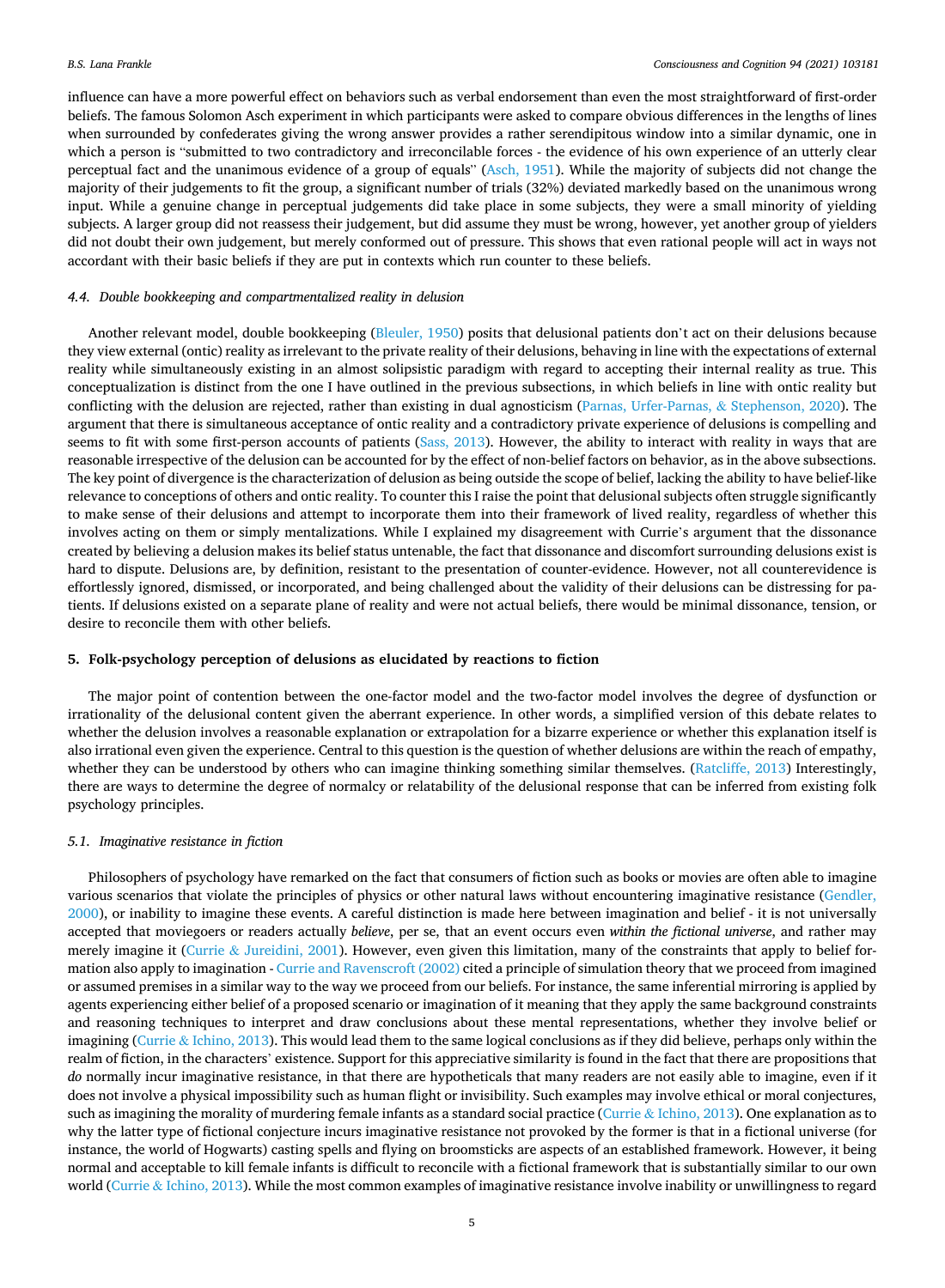influence can have a more powerful effect on behaviors such as verbal endorsement than even the most straightforward of first-order beliefs. The famous Solomon Asch experiment in which participants were asked to compare obvious differences in the lengths of lines when surrounded by confederates giving the wrong answer provides a rather serendipitous window into a similar dynamic, one in which a person is "submitted to two contradictory and irreconcilable forces - the evidence of his own experience of an utterly clear perceptual fact and the unanimous evidence of a group of equals" [\(Asch, 1951](#page-7-0)). While the majority of subjects did not change the majority of their judgements to fit the group, a significant number of trials (32%) deviated markedly based on the unanimous wrong input. While a genuine change in perceptual judgements did take place in some subjects, they were a small minority of yielding subjects. A larger group did not reassess their judgement, but did assume they must be wrong, however, yet another group of yielders did not doubt their own judgement, but merely conformed out of pressure. This shows that even rational people will act in ways not accordant with their basic beliefs if they are put in contexts which run counter to these beliefs.

#### *4.4. Double bookkeeping and compartmentalized reality in delusion*

Another relevant model, double bookkeeping ([Bleuler, 1950](#page-7-0)) posits that delusional patients don't act on their delusions because they view external (ontic) reality as irrelevant to the private reality of their delusions, behaving in line with the expectations of external reality while simultaneously existing in an almost solipsistic paradigm with regard to accepting their internal reality as true. This conceptualization is distinct from the one I have outlined in the previous subsections, in which beliefs in line with ontic reality but conflicting with the delusion are rejected, rather than existing in dual agnosticism ([Parnas, Urfer-Parnas,](#page-8-0) & Stephenson, 2020). The argument that there is simultaneous acceptance of ontic reality and a contradictory private experience of delusions is compelling and seems to fit with some first-person accounts of patients [\(Sass, 2013\)](#page-8-0). However, the ability to interact with reality in ways that are reasonable irrespective of the delusion can be accounted for by the effect of non-belief factors on behavior, as in the above subsections. The key point of divergence is the characterization of delusion as being outside the scope of belief, lacking the ability to have belief-like relevance to conceptions of others and ontic reality. To counter this I raise the point that delusional subjects often struggle significantly to make sense of their delusions and attempt to incorporate them into their framework of lived reality, regardless of whether this involves acting on them or simply mentalizations. While I explained my disagreement with Currie's argument that the dissonance created by believing a delusion makes its belief status untenable, the fact that dissonance and discomfort surrounding delusions exist is hard to dispute. Delusions are, by definition, resistant to the presentation of counter-evidence. However, not all counterevidence is effortlessly ignored, dismissed, or incorporated, and being challenged about the validity of their delusions can be distressing for patients. If delusions existed on a separate plane of reality and were not actual beliefs, there would be minimal dissonance, tension, or desire to reconcile them with other beliefs.

#### **5. Folk-psychology perception of delusions as elucidated by reactions to fiction**

The major point of contention between the one-factor model and the two-factor model involves the degree of dysfunction or irrationality of the delusional content given the aberrant experience. In other words, a simplified version of this debate relates to whether the delusion involves a reasonable explanation or extrapolation for a bizarre experience or whether this explanation itself is also irrational even given the experience. Central to this question is the question of whether delusions are within the reach of empathy, whether they can be understood by others who can imagine thinking something similar themselves. ([Ratcliffe, 2013](#page-8-0)) Interestingly, there are ways to determine the degree of normalcy or relatability of the delusional response that can be inferred from existing folk psychology principles.

#### *5.1. Imaginative resistance in fiction*

Philosophers of psychology have remarked on the fact that consumers of fiction such as books or movies are often able to imagine various scenarios that violate the principles of physics or other natural laws without encountering imaginative resistance [\(Gendler,](#page-8-0) [2000\)](#page-8-0), or inability to imagine these events. A careful distinction is made here between imagination and belief - it is not universally accepted that moviegoers or readers actually *believe*, per se, that an event occurs even *within the fictional universe*, and rather may merely imagine it (Currie & [Jureidini, 2001](#page-8-0)). However, even given this limitation, many of the constraints that apply to belief formation also apply to imagination - [Currie and Ravenscroft \(2002\)](#page-8-0) cited a principle of simulation theory that we proceed from imagined or assumed premises in a similar way to the way we proceed from our beliefs. For instance, the same inferential mirroring is applied by agents experiencing either belief of a proposed scenario or imagination of it meaning that they apply the same background constraints and reasoning techniques to interpret and draw conclusions about these mental representations, whether they involve belief or imagining (Currie & [Ichino, 2013](#page-8-0)). This would lead them to the same logical conclusions as if they did believe, perhaps only within the realm of fiction, in the characters' existence. Support for this appreciative similarity is found in the fact that there are propositions that *do* normally incur imaginative resistance, in that there are hypotheticals that many readers are not easily able to imagine, even if it does not involve a physical impossibility such as human flight or invisibility. Such examples may involve ethical or moral conjectures, such as imagining the morality of murdering female infants as a standard social practice (Currie & [Ichino, 2013](#page-8-0)). One explanation as to why the latter type of fictional conjecture incurs imaginative resistance not provoked by the former is that in a fictional universe (for instance, the world of Hogwarts) casting spells and flying on broomsticks are aspects of an established framework. However, it being normal and acceptable to kill female infants is difficult to reconcile with a fictional framework that is substantially similar to our own world (Currie & [Ichino, 2013\)](#page-8-0). While the most common examples of imaginative resistance involve inability or unwillingness to regard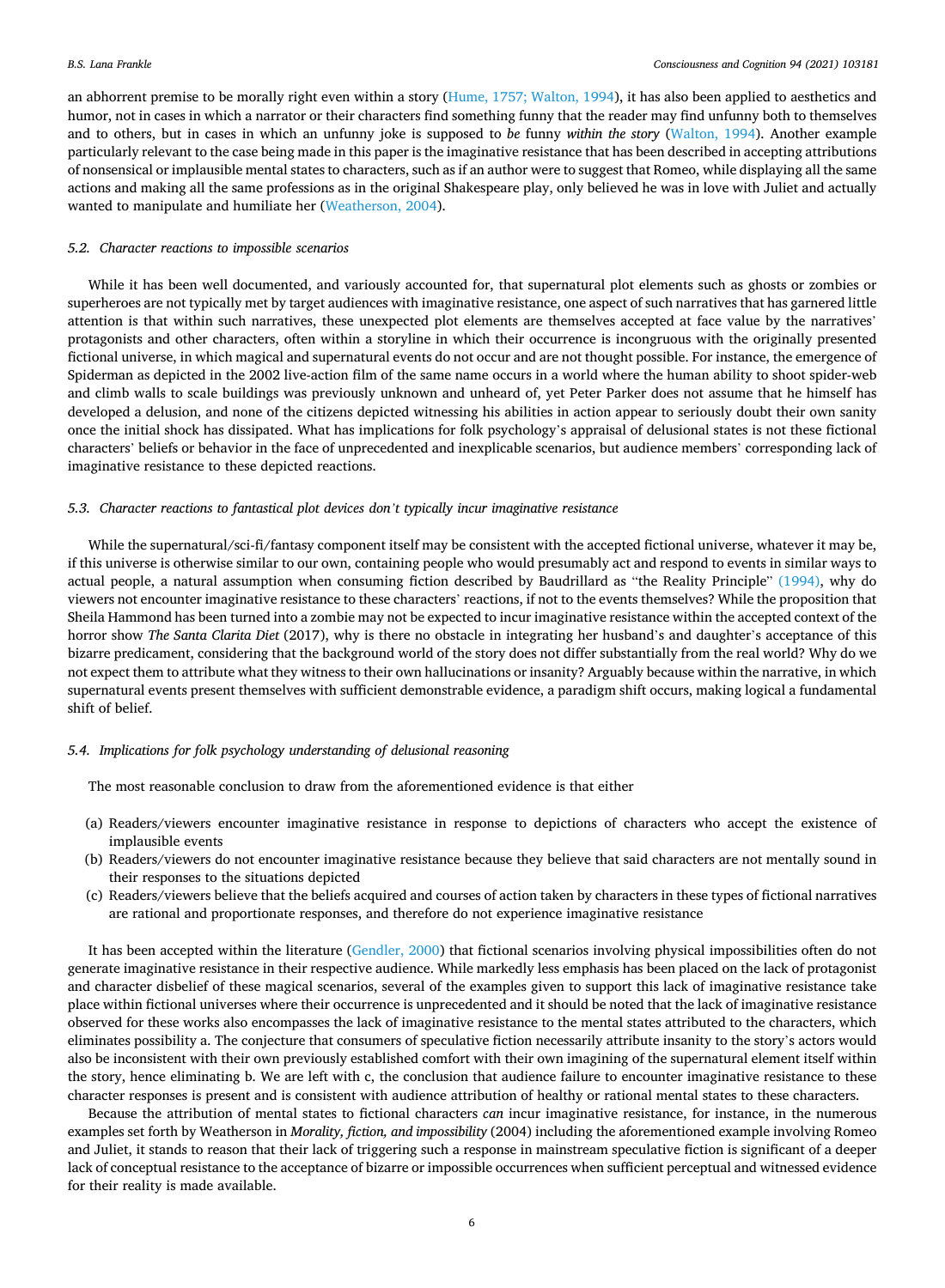an abhorrent premise to be morally right even within a story [\(Hume, 1757; Walton, 1994](#page-8-0)), it has also been applied to aesthetics and humor, not in cases in which a narrator or their characters find something funny that the reader may find unfunny both to themselves and to others, but in cases in which an unfunny joke is supposed to *be* funny *within the story* [\(Walton, 1994](#page-8-0)). Another example particularly relevant to the case being made in this paper is the imaginative resistance that has been described in accepting attributions of nonsensical or implausible mental states to characters, such as if an author were to suggest that Romeo, while displaying all the same actions and making all the same professions as in the original Shakespeare play, only believed he was in love with Juliet and actually wanted to manipulate and humiliate her ([Weatherson, 2004\)](#page-8-0).

## *5.2. Character reactions to impossible scenarios*

While it has been well documented, and variously accounted for, that supernatural plot elements such as ghosts or zombies or superheroes are not typically met by target audiences with imaginative resistance, one aspect of such narratives that has garnered little attention is that within such narratives, these unexpected plot elements are themselves accepted at face value by the narratives' protagonists and other characters, often within a storyline in which their occurrence is incongruous with the originally presented fictional universe, in which magical and supernatural events do not occur and are not thought possible. For instance, the emergence of Spiderman as depicted in the 2002 live-action film of the same name occurs in a world where the human ability to shoot spider-web and climb walls to scale buildings was previously unknown and unheard of, yet Peter Parker does not assume that he himself has developed a delusion, and none of the citizens depicted witnessing his abilities in action appear to seriously doubt their own sanity once the initial shock has dissipated. What has implications for folk psychology's appraisal of delusional states is not these fictional characters' beliefs or behavior in the face of unprecedented and inexplicable scenarios, but audience members' corresponding lack of imaginative resistance to these depicted reactions.

#### *5.3. Character reactions to fantastical plot devices don't typically incur imaginative resistance*

While the supernatural/sci-fi/fantasy component itself may be consistent with the accepted fictional universe, whatever it may be, if this universe is otherwise similar to our own, containing people who would presumably act and respond to events in similar ways to actual people, a natural assumption when consuming fiction described by Baudrillard as "the Reality Principle" [\(1994\),](#page-7-0) why do viewers not encounter imaginative resistance to these characters' reactions, if not to the events themselves? While the proposition that Sheila Hammond has been turned into a zombie may not be expected to incur imaginative resistance within the accepted context of the horror show *The Santa Clarita Diet* (2017), why is there no obstacle in integrating her husband's and daughter's acceptance of this bizarre predicament, considering that the background world of the story does not differ substantially from the real world? Why do we not expect them to attribute what they witness to their own hallucinations or insanity? Arguably because within the narrative, in which supernatural events present themselves with sufficient demonstrable evidence, a paradigm shift occurs, making logical a fundamental shift of belief.

#### *5.4. Implications for folk psychology understanding of delusional reasoning*

The most reasonable conclusion to draw from the aforementioned evidence is that either

- (a) Readers/viewers encounter imaginative resistance in response to depictions of characters who accept the existence of implausible events
- (b) Readers/viewers do not encounter imaginative resistance because they believe that said characters are not mentally sound in their responses to the situations depicted
- (c) Readers/viewers believe that the beliefs acquired and courses of action taken by characters in these types of fictional narratives are rational and proportionate responses, and therefore do not experience imaginative resistance

It has been accepted within the literature ([Gendler, 2000](#page-8-0)) that fictional scenarios involving physical impossibilities often do not generate imaginative resistance in their respective audience. While markedly less emphasis has been placed on the lack of protagonist and character disbelief of these magical scenarios, several of the examples given to support this lack of imaginative resistance take place within fictional universes where their occurrence is unprecedented and it should be noted that the lack of imaginative resistance observed for these works also encompasses the lack of imaginative resistance to the mental states attributed to the characters, which eliminates possibility a. The conjecture that consumers of speculative fiction necessarily attribute insanity to the story's actors would also be inconsistent with their own previously established comfort with their own imagining of the supernatural element itself within the story, hence eliminating b. We are left with c, the conclusion that audience failure to encounter imaginative resistance to these character responses is present and is consistent with audience attribution of healthy or rational mental states to these characters.

Because the attribution of mental states to fictional characters *can* incur imaginative resistance, for instance, in the numerous examples set forth by Weatherson in *Morality, fiction, and impossibility* (2004) including the aforementioned example involving Romeo and Juliet, it stands to reason that their lack of triggering such a response in mainstream speculative fiction is significant of a deeper lack of conceptual resistance to the acceptance of bizarre or impossible occurrences when sufficient perceptual and witnessed evidence for their reality is made available.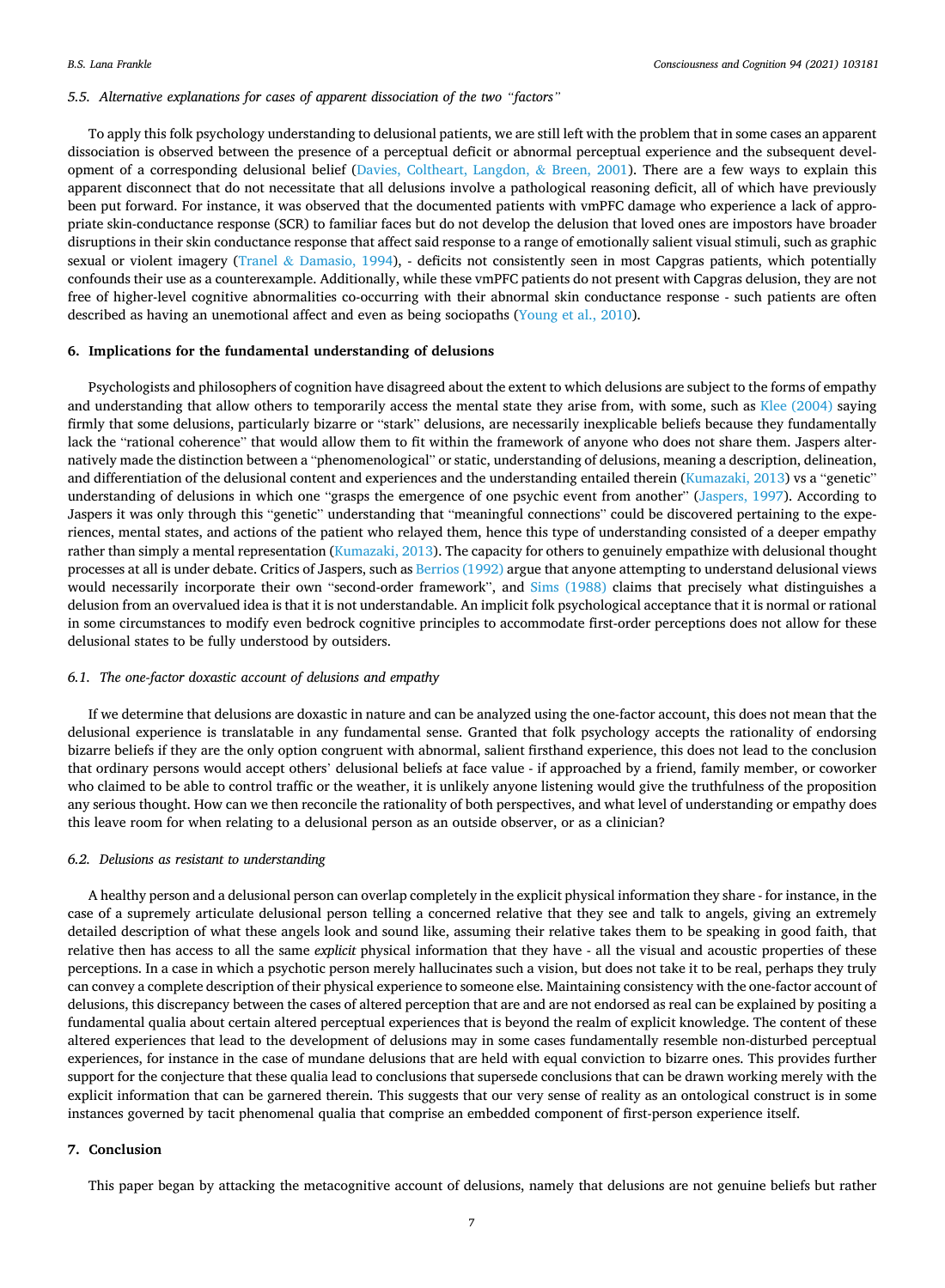#### *5.5. Alternative explanations for cases of apparent dissociation of the two "factors"*

To apply this folk psychology understanding to delusional patients, we are still left with the problem that in some cases an apparent dissociation is observed between the presence of a perceptual deficit or abnormal perceptual experience and the subsequent devel-opment of a corresponding delusional belief ([Davies, Coltheart, Langdon,](#page-8-0)  $\&$  Breen, 2001). There are a few ways to explain this apparent disconnect that do not necessitate that all delusions involve a pathological reasoning deficit, all of which have previously been put forward. For instance, it was observed that the documented patients with vmPFC damage who experience a lack of appropriate skin-conductance response (SCR) to familiar faces but do not develop the delusion that loved ones are impostors have broader disruptions in their skin conductance response that affect said response to a range of emotionally salient visual stimuli, such as graphic sexual or violent imagery (Tranel & [Damasio, 1994](#page-8-0)), - deficits not consistently seen in most Capgras patients, which potentially confounds their use as a counterexample. Additionally, while these vmPFC patients do not present with Capgras delusion, they are not free of higher-level cognitive abnormalities co-occurring with their abnormal skin conductance response - such patients are often described as having an unemotional affect and even as being sociopaths ([Young et al., 2010](#page-8-0)).

## **6. Implications for the fundamental understanding of delusions**

Psychologists and philosophers of cognition have disagreed about the extent to which delusions are subject to the forms of empathy and understanding that allow others to temporarily access the mental state they arise from, with some, such as [Klee \(2004\)](#page-8-0) saying firmly that some delusions, particularly bizarre or "stark" delusions, are necessarily inexplicable beliefs because they fundamentally lack the "rational coherence" that would allow them to fit within the framework of anyone who does not share them. Jaspers alternatively made the distinction between a "phenomenological" or static, understanding of delusions, meaning a description, delineation, and differentiation of the delusional content and experiences and the understanding entailed therein [\(Kumazaki, 2013](#page-8-0)) vs a "genetic" understanding of delusions in which one "grasps the emergence of one psychic event from another" ([Jaspers, 1997\)](#page-8-0). According to Jaspers it was only through this "genetic" understanding that "meaningful connections" could be discovered pertaining to the experiences, mental states, and actions of the patient who relayed them, hence this type of understanding consisted of a deeper empathy rather than simply a mental representation ([Kumazaki, 2013\)](#page-8-0). The capacity for others to genuinely empathize with delusional thought processes at all is under debate. Critics of Jaspers, such as [Berrios \(1992\)](#page-7-0) argue that anyone attempting to understand delusional views would necessarily incorporate their own "second-order framework", and [Sims \(1988\)](#page-8-0) claims that precisely what distinguishes a delusion from an overvalued idea is that it is not understandable. An implicit folk psychological acceptance that it is normal or rational in some circumstances to modify even bedrock cognitive principles to accommodate first-order perceptions does not allow for these delusional states to be fully understood by outsiders.

## *6.1. The one-factor doxastic account of delusions and empathy*

If we determine that delusions are doxastic in nature and can be analyzed using the one-factor account, this does not mean that the delusional experience is translatable in any fundamental sense. Granted that folk psychology accepts the rationality of endorsing bizarre beliefs if they are the only option congruent with abnormal, salient firsthand experience, this does not lead to the conclusion that ordinary persons would accept others' delusional beliefs at face value - if approached by a friend, family member, or coworker who claimed to be able to control traffic or the weather, it is unlikely anyone listening would give the truthfulness of the proposition any serious thought. How can we then reconcile the rationality of both perspectives, and what level of understanding or empathy does this leave room for when relating to a delusional person as an outside observer, or as a clinician?

#### *6.2. Delusions as resistant to understanding*

A healthy person and a delusional person can overlap completely in the explicit physical information they share - for instance, in the case of a supremely articulate delusional person telling a concerned relative that they see and talk to angels, giving an extremely detailed description of what these angels look and sound like, assuming their relative takes them to be speaking in good faith, that relative then has access to all the same *explicit* physical information that they have - all the visual and acoustic properties of these perceptions. In a case in which a psychotic person merely hallucinates such a vision, but does not take it to be real, perhaps they truly can convey a complete description of their physical experience to someone else. Maintaining consistency with the one-factor account of delusions, this discrepancy between the cases of altered perception that are and are not endorsed as real can be explained by positing a fundamental qualia about certain altered perceptual experiences that is beyond the realm of explicit knowledge. The content of these altered experiences that lead to the development of delusions may in some cases fundamentally resemble non-disturbed perceptual experiences, for instance in the case of mundane delusions that are held with equal conviction to bizarre ones. This provides further support for the conjecture that these qualia lead to conclusions that supersede conclusions that can be drawn working merely with the explicit information that can be garnered therein. This suggests that our very sense of reality as an ontological construct is in some instances governed by tacit phenomenal qualia that comprise an embedded component of first-person experience itself.

#### **7. Conclusion**

This paper began by attacking the metacognitive account of delusions, namely that delusions are not genuine beliefs but rather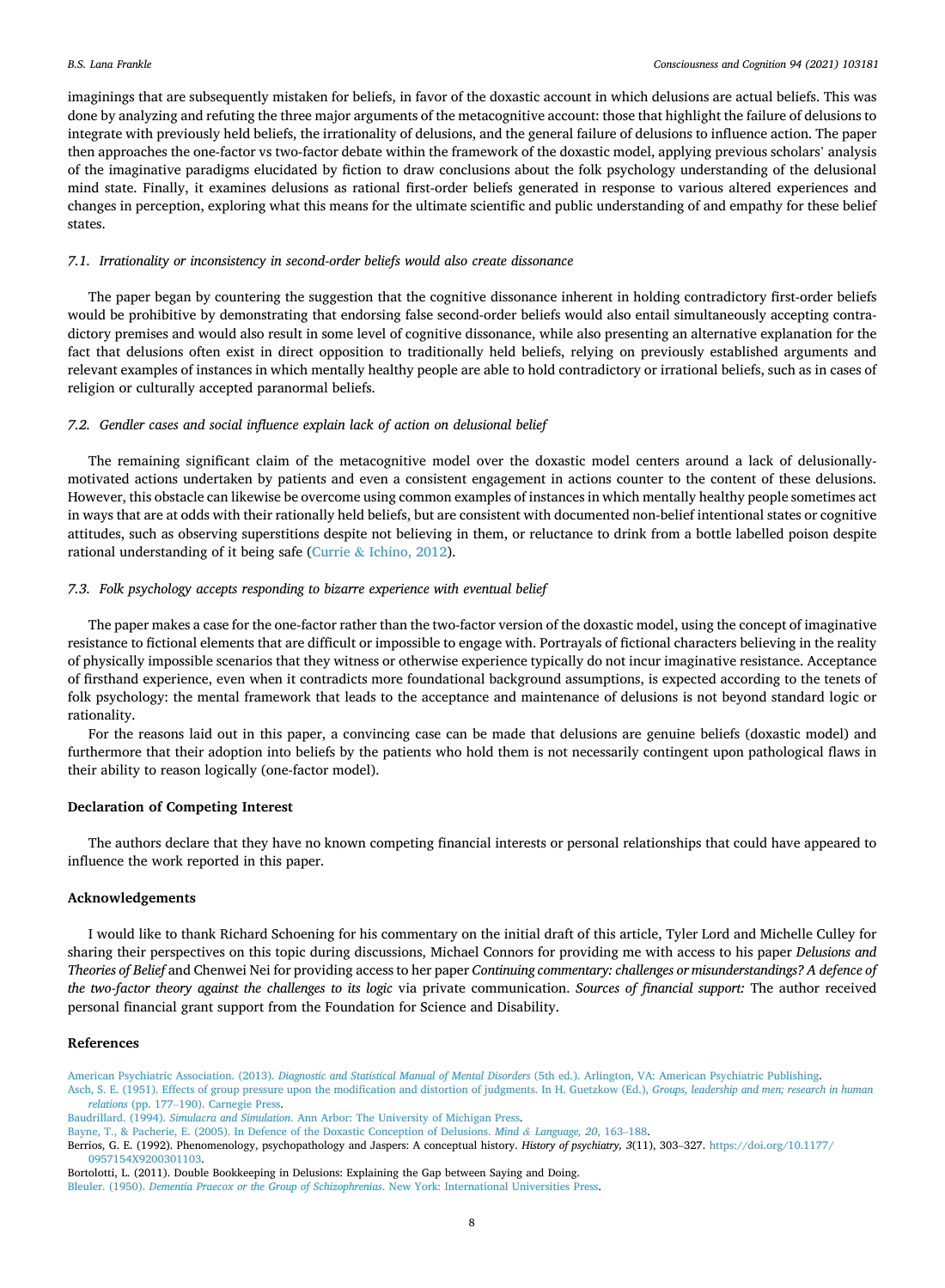<span id="page-7-0"></span>imaginings that are subsequently mistaken for beliefs, in favor of the doxastic account in which delusions are actual beliefs. This was done by analyzing and refuting the three major arguments of the metacognitive account: those that highlight the failure of delusions to integrate with previously held beliefs, the irrationality of delusions, and the general failure of delusions to influence action. The paper then approaches the one-factor vs two-factor debate within the framework of the doxastic model, applying previous scholars' analysis of the imaginative paradigms elucidated by fiction to draw conclusions about the folk psychology understanding of the delusional mind state. Finally, it examines delusions as rational first-order beliefs generated in response to various altered experiences and changes in perception, exploring what this means for the ultimate scientific and public understanding of and empathy for these belief states.

## *7.1. Irrationality or inconsistency in second-order beliefs would also create dissonance*

The paper began by countering the suggestion that the cognitive dissonance inherent in holding contradictory first-order beliefs would be prohibitive by demonstrating that endorsing false second-order beliefs would also entail simultaneously accepting contradictory premises and would also result in some level of cognitive dissonance, while also presenting an alternative explanation for the fact that delusions often exist in direct opposition to traditionally held beliefs, relying on previously established arguments and relevant examples of instances in which mentally healthy people are able to hold contradictory or irrational beliefs, such as in cases of religion or culturally accepted paranormal beliefs.

## *7.2. Gendler cases and social influence explain lack of action on delusional belief*

The remaining significant claim of the metacognitive model over the doxastic model centers around a lack of delusionallymotivated actions undertaken by patients and even a consistent engagement in actions counter to the content of these delusions. However, this obstacle can likewise be overcome using common examples of instances in which mentally healthy people sometimes act in ways that are at odds with their rationally held beliefs, but are consistent with documented non-belief intentional states or cognitive attitudes, such as observing superstitions despite not believing in them, or reluctance to drink from a bottle labelled poison despite rational understanding of it being safe (Currie & [Ichino, 2012\)](#page-8-0).

## *7.3. Folk psychology accepts responding to bizarre experience with eventual belief*

The paper makes a case for the one-factor rather than the two-factor version of the doxastic model, using the concept of imaginative resistance to fictional elements that are difficult or impossible to engage with. Portrayals of fictional characters believing in the reality of physically impossible scenarios that they witness or otherwise experience typically do not incur imaginative resistance. Acceptance of firsthand experience, even when it contradicts more foundational background assumptions, is expected according to the tenets of folk psychology: the mental framework that leads to the acceptance and maintenance of delusions is not beyond standard logic or rationality.

For the reasons laid out in this paper, a convincing case can be made that delusions are genuine beliefs (doxastic model) and furthermore that their adoption into beliefs by the patients who hold them is not necessarily contingent upon pathological flaws in their ability to reason logically (one-factor model).

#### **Declaration of Competing Interest**

The authors declare that they have no known competing financial interests or personal relationships that could have appeared to influence the work reported in this paper.

#### **Acknowledgements**

I would like to thank Richard Schoening for his commentary on the initial draft of this article, Tyler Lord and Michelle Culley for sharing their perspectives on this topic during discussions, Michael Connors for providing me with access to his paper *Delusions and Theories of Belief* and Chenwei Nei for providing access to her paper *Continuing commentary: challenges or misunderstandings? A defence of the two-factor theory against the challenges to its logic* via private communication. *Sources of financial support:* The author received personal financial grant support from the Foundation for Science and Disability.

## **References**

American Psychiatric Association. (2013). *Diagnostic and Statistical Manual of Mental Disorders* [\(5th ed.\). Arlington, VA: American Psychiatric Publishing](http://refhub.elsevier.com/S1053-8100(21)00107-0/h0005). [Asch, S. E. \(1951\). Effects of group pressure upon the modification and distortion of judgments. In H. Guetzkow \(Ed.\),](http://refhub.elsevier.com/S1053-8100(21)00107-0/h0010) *Groups, leadership and men; research in human relations* (pp. 177–[190\). Carnegie Press.](http://refhub.elsevier.com/S1053-8100(21)00107-0/h0010)

Berrios, G. E. (1992). Phenomenology, psychopathology and Jaspers: A conceptual history. *History of psychiatry, 3*(11), 303–327. [https://doi.org/10.1177/](https://doi.org/10.1177/0957154X9200301103)  [0957154X9200301103](https://doi.org/10.1177/0957154X9200301103).

Bortolotti, L. (2011). Double Bookkeeping in Delusions: Explaining the Gap between Saying and Doing. Bleuler. (1950). *[Dementia Praecox or the Group of Schizophrenias](http://refhub.elsevier.com/S1053-8100(21)00107-0/opt0z9tRnLHYp)*. New York: International Universities Press.

Baudrillard. (1994). *Simulacra and Simulation*[. Ann Arbor: The University of Michigan Press.](http://refhub.elsevier.com/S1053-8100(21)00107-0/h0015)

[Bayne, T., & Pacherie, E. \(2005\). In Defence of the Doxastic Conception of Delusions.](http://refhub.elsevier.com/S1053-8100(21)00107-0/h0020) *Mind & Language, 20*, 163–188.